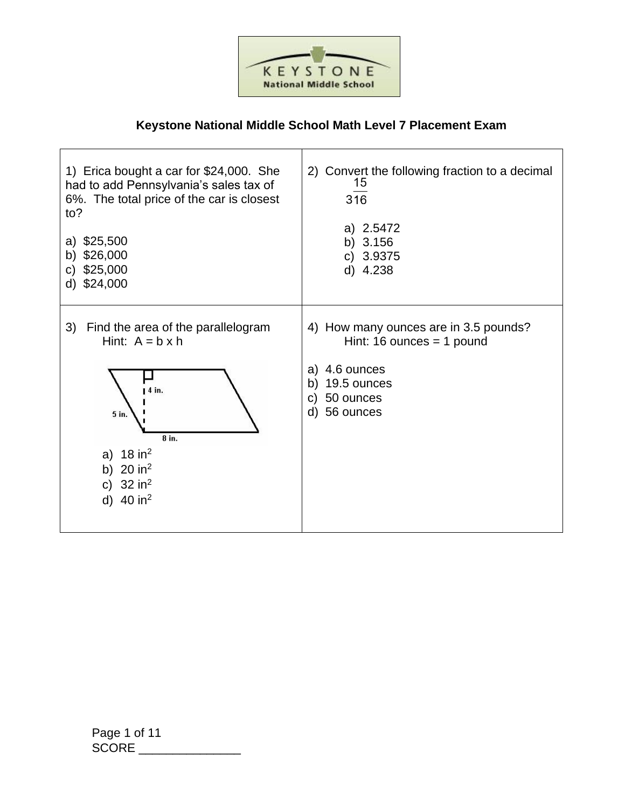

## **Keystone National Middle School Math Level 7 Placement Exam**

 $\overline{1}$ 

| 1) Erica bought a car for \$24,000. She<br>had to add Pennsylvania's sales tax of<br>6%. The total price of the car is closest<br>to?<br>\$25,500<br>a)<br>\$26,000<br>b)<br>\$25,000<br>C)<br>\$24,000<br>d) | 2) Convert the following fraction to a decimal<br>15<br>316<br>a) 2.5472<br>b) $3.156$<br>c) 3.9375<br>d) 4.238                               |
|---------------------------------------------------------------------------------------------------------------------------------------------------------------------------------------------------------------|-----------------------------------------------------------------------------------------------------------------------------------------------|
| Find the area of the parallelogram<br>3)<br>Hint: $A = b \times h$<br>$14$ in.<br>5 in.<br>8 in.<br>a) $18 \text{ in}^2$<br>b) $20 in2$<br>c) $32 in2$<br>d) $40 in2$                                         | 4) How many ounces are in 3.5 pounds?<br>Hint: 16 ounces $=$ 1 pound<br>a) 4.6 ounces<br>b) 19.5 ounces<br>50 ounces<br>C)<br>56 ounces<br>d) |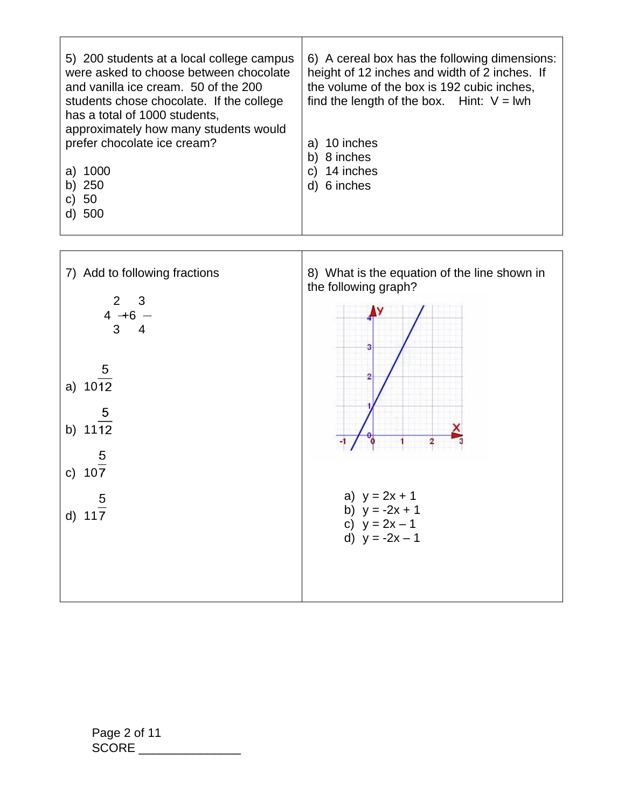| 5) 200 students at a local college campus<br>were asked to choose between chocolate<br>and vanilla ice cream. 50 of the 200<br>students chose chocolate. If the college<br>has a total of 1000 students,<br>approximately how many students would | 6) A cereal box has the following dimensions:<br>height of 12 inches and width of 2 inches. If<br>the volume of the box is 192 cubic inches,<br>find the length of the box. Hint: $V = Iwh$ |
|---------------------------------------------------------------------------------------------------------------------------------------------------------------------------------------------------------------------------------------------------|---------------------------------------------------------------------------------------------------------------------------------------------------------------------------------------------|
| prefer chocolate ice cream?                                                                                                                                                                                                                       | a) 10 inches                                                                                                                                                                                |
|                                                                                                                                                                                                                                                   | b) 8 inches                                                                                                                                                                                 |
| 1000<br>a)                                                                                                                                                                                                                                        | c) 14 inches                                                                                                                                                                                |
| 250<br>b)                                                                                                                                                                                                                                         | d) 6 inches                                                                                                                                                                                 |
| -50<br>C)                                                                                                                                                                                                                                         |                                                                                                                                                                                             |
| -500                                                                                                                                                                                                                                              |                                                                                                                                                                                             |

 $\overline{\phantom{a}}$ 

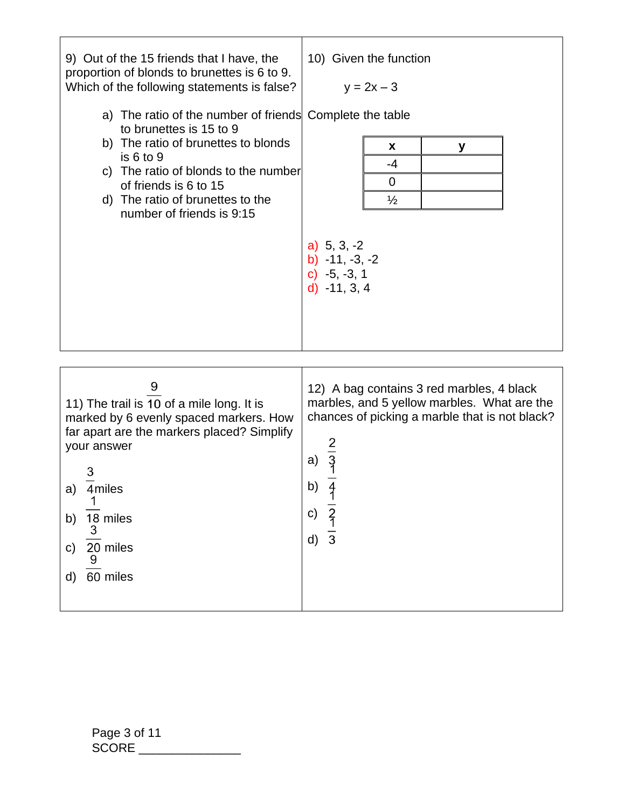| 9) Out of the 15 friends that I have, the<br>proportion of blonds to brunettes is 6 to 9.<br>Which of the following statements is false?<br>a) The ratio of the number of friends Complete the table<br>to brunettes is 15 to 9<br>b) The ratio of brunettes to blonds<br>is 6 to 9<br>c) The ratio of blonds to the number<br>of friends is 6 to 15<br>d) The ratio of brunettes to the<br>number of friends is 9:15 | 10) Given the function<br>$y = 2x - 3$<br>X<br>у<br>$-4$<br>0<br>$\frac{1}{2}$<br>a) $5, 3, -2$<br>b) $-11, -3, -2$<br>c) $-5, -3, 1$<br>$d) -11, 3, 4$                                                        |
|-----------------------------------------------------------------------------------------------------------------------------------------------------------------------------------------------------------------------------------------------------------------------------------------------------------------------------------------------------------------------------------------------------------------------|----------------------------------------------------------------------------------------------------------------------------------------------------------------------------------------------------------------|
| 9<br>11) The trail is 10 of a mile long. It is<br>marked by 6 evenly spaced markers. How<br>far apart are the markers placed? Simplify<br>your answer<br>4miles<br>b) $\frac{18}{3}$ miles<br>c) $\frac{20}{9}$ miles<br>d) 60 miles                                                                                                                                                                                  | 12) A bag contains 3 red marbles, 4 black<br>marbles, and 5 yellow marbles. What are the<br>chances of picking a marble that is not black?<br>a)<br>b)<br>$\overline{\overline{3}}$<br>c)<br>d) $\overline{3}$ |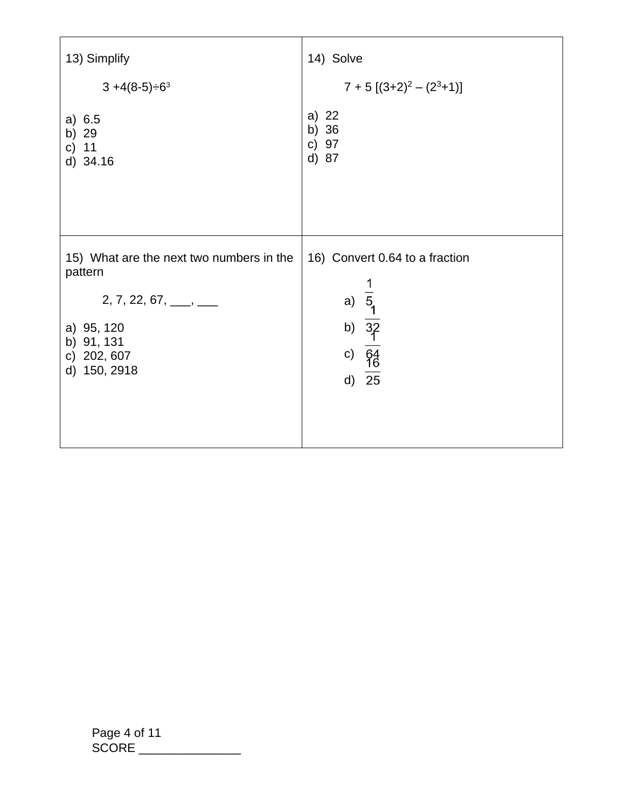| 13) Simplify                                                                                                                                                       | 14) Solve                                                                                                          |
|--------------------------------------------------------------------------------------------------------------------------------------------------------------------|--------------------------------------------------------------------------------------------------------------------|
| $3 + 4(8-5) \div 6^3$                                                                                                                                              | $7 + 5 [(3+2)^{2} - (2^{3}+1)]$                                                                                    |
| a) 6.5<br>b) 29<br>c) $11$<br>d) 34.16                                                                                                                             | a) 22<br>b) 36<br>c) 97<br>d) 87                                                                                   |
| 15) What are the next two numbers in the<br>pattern<br>$2, 7, 22, 67, \_\_\_\_\_\_\_\_\_\_\_\_\_\_\_\_$<br>a) 95, 120<br>b) 91, 131<br>c) 202, 607<br>d) 150, 2918 | 16) Convert 0.64 to a fraction<br>a) $\frac{1}{5}$<br>b) $\frac{3}{2}$<br>c) $\frac{64}{10}$<br>d) $\overline{25}$ |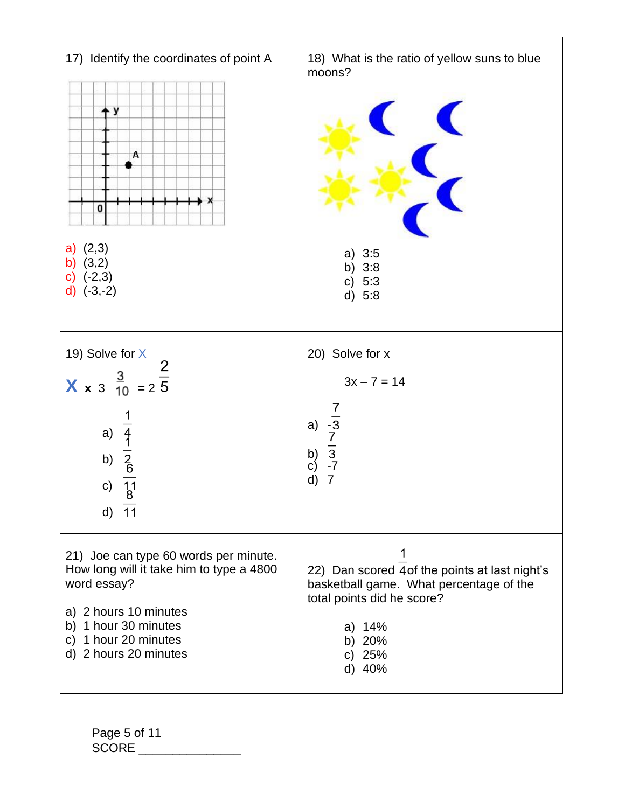| 17) Identify the coordinates of point A<br>- y<br>Α<br>0<br>$a)$ $(2,3)$<br>b) $(3,2)$<br>$(-2,3)$<br>d) $(-3,-2)$                                                                                    | 18) What is the ratio of yellow suns to blue<br>moons?<br>$\blacktriangle$<br>a) $3:5$<br>b)<br>3:8<br>c) $5:3$<br>d) 5:8                                           |
|-------------------------------------------------------------------------------------------------------------------------------------------------------------------------------------------------------|---------------------------------------------------------------------------------------------------------------------------------------------------------------------|
| 19) Solve for X<br><b>X</b> x 3 $\frac{3}{10}$ = 2 $\frac{2}{5}$<br>a) $\frac{1}{4}$<br>b) $\frac{2}{8}$<br>c) $\frac{11}{11}$<br>$d)$ 11                                                             | 20) Solve for x<br>$3x - 7 = 14$<br>$\frac{7}{-3}$<br>$\frac{7}{2}$<br>$\frac{7}{3}$<br>$\frac{7}{7}$<br>a)<br>b)<br>c)<br>7<br>d)                                  |
| 21) Joe can type 60 words per minute.<br>How long will it take him to type a 4800<br>word essay?<br>a) 2 hours 10 minutes<br>b) 1 hour 30 minutes<br>1 hour 20 minutes<br>C)<br>d) 2 hours 20 minutes | 22) Dan scored 4 of the points at last night's<br>basketball game. What percentage of the<br>total points did he score?<br>a) $14%$<br>b) 20%<br>c) $25%$<br>d) 40% |

Page 5 of 11 SCORE \_\_\_\_\_\_\_\_\_\_\_\_\_\_\_\_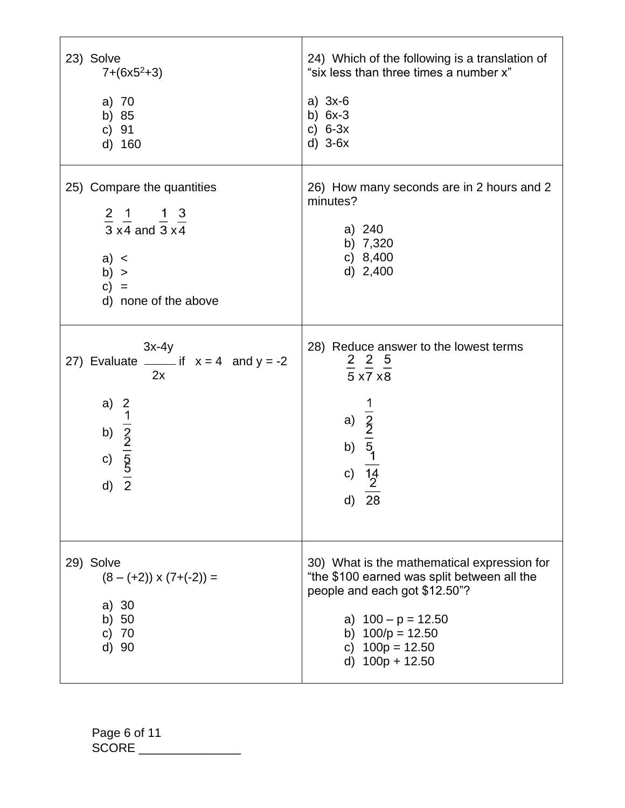| 23) Solve                                                                               | 24) Which of the following is a translation of                                                                                                                                                                    |
|-----------------------------------------------------------------------------------------|-------------------------------------------------------------------------------------------------------------------------------------------------------------------------------------------------------------------|
| $7+(6x5^2+3)$                                                                           | "six less than three times a number x"                                                                                                                                                                            |
| a) 70                                                                                   | a) $3x-6$                                                                                                                                                                                                         |
| b) 85                                                                                   | b) $6x-3$                                                                                                                                                                                                         |
| c) 91                                                                                   | c) $6-3x$                                                                                                                                                                                                         |
| d) 160                                                                                  | $d)$ 3-6 $x$                                                                                                                                                                                                      |
| 25) Compare the quantities                                                              | 26) How many seconds are in 2 hours and 2                                                                                                                                                                         |
| $\frac{2}{3}$ , $\frac{1}{4}$ and $\frac{1}{3}$ $\frac{3}{4}$                           | minutes?                                                                                                                                                                                                          |
| a) <                                                                                    | a) 240                                                                                                                                                                                                            |
| b) >                                                                                    | b) 7,320                                                                                                                                                                                                          |
| $c) =$                                                                                  | c) $8,400$                                                                                                                                                                                                        |
| d) none of the above                                                                    | d) $2,400$                                                                                                                                                                                                        |
| $3x-4y$                                                                                 | 28) Reduce answer to the lowest terms                                                                                                                                                                             |
| 27) Evaluate ______ if $x = 4$ and $y = -2$                                             | $\frac{2}{5} \frac{2}{x7} \frac{5}{x8}$                                                                                                                                                                           |
| 2x                                                                                      | a) $\frac{1}{2}$<br>b) $\frac{1}{5}$<br>c) $\frac{14}{2}$                                                                                                                                                         |
| a) $\frac{2}{1}$<br>b) $\frac{1}{2}$<br>c) $\frac{5}{5}$<br>d) $\frac{2}{2}$            | d)                                                                                                                                                                                                                |
| d)                                                                                      | 28                                                                                                                                                                                                                |
| 29) Solve<br>$(8 - (+2)) \times (7 + (-2)) =$<br>a) $30$<br>b) $50$<br>c) $70$<br>d) 90 | 30) What is the mathematical expression for<br>"the \$100 earned was split between all the<br>people and each got \$12.50"?<br>a) $100 - p = 12.50$<br>b) $100/p = 12.50$<br>c) $100p = 12.50$<br>d) 100p + 12.50 |

Page 6 of 11 SCORE \_\_\_\_\_\_\_\_\_\_\_\_\_\_\_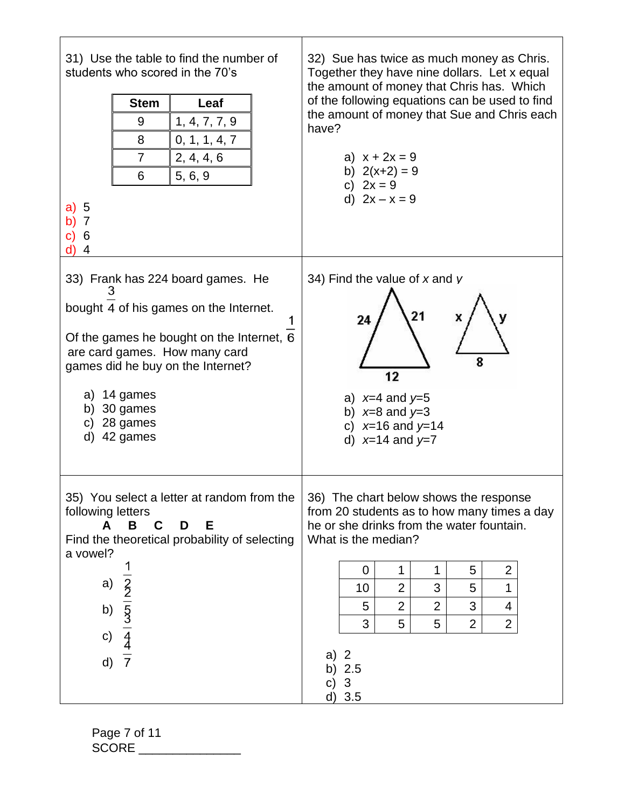| 31) Use the table to find the number of<br>students who scored in the 70's<br><b>Stem</b><br>Leaf<br>9<br>1, 4, 7, 7, 9<br>8<br>0, 1, 1, 4, 7<br>$\overline{7}$<br>2, 4, 4, 6<br>5, 6, 9<br>6<br>a)<br>5<br>b) $7$<br>C)<br>6<br>d) 4                                  | 32) Sue has twice as much money as Chris.<br>Together they have nine dollars. Let x equal<br>the amount of money that Chris has. Which<br>of the following equations can be used to find<br>the amount of money that Sue and Chris each<br>have?<br>a) $x + 2x = 9$<br>b) $2(x+2) = 9$<br>c) $2x = 9$<br>d) $2x - x = 9$                                                                  |
|------------------------------------------------------------------------------------------------------------------------------------------------------------------------------------------------------------------------------------------------------------------------|-------------------------------------------------------------------------------------------------------------------------------------------------------------------------------------------------------------------------------------------------------------------------------------------------------------------------------------------------------------------------------------------|
| 33) Frank has 224 board games. He<br>3<br>bought 4 of his games on the Internet.<br>Of the games he bought on the Internet, 6<br>are card games. How many card<br>games did he buy on the Internet?<br>a) 14 games<br>b) $30$ games<br>c) $28$ games<br>d)<br>42 games | 34) Find the value of $x$ and $y$<br>21<br>x<br>24<br>8<br>12<br>a) $x=4$ and $y=5$<br>b) $x=8$ and $y=3$<br>c) $x=16$ and $y=14$<br>d) $x=14$ and $y=7$                                                                                                                                                                                                                                  |
| 35) You select a letter at random from the<br>following letters<br>В<br>C<br>Е<br>A<br>D<br>Find the theoretical probability of selecting<br>a vowel?<br>$\frac{1}{2}$ $\frac{2}{5}$ $\frac{1}{5}$ $\frac{4}{7}$<br>a)<br>b)<br>c)<br>d)                               | 36) The chart below shows the response<br>from 20 students as to how many times a day<br>he or she drinks from the water fountain.<br>What is the median?<br>$\overline{2}$<br>0<br>1<br>1<br>5<br>$\overline{2}$<br>3<br>5<br>1<br>10<br>3<br>$\overline{2}$<br>$\overline{2}$<br>5<br>4<br>3<br>5<br>5<br>$\overline{2}$<br>$\overline{2}$<br>a) $2$<br>b) $2.5$<br>C)<br>3<br>$d)$ 3.5 |

Page 7 of 11 SCORE \_\_\_\_\_\_\_\_\_\_\_\_\_\_\_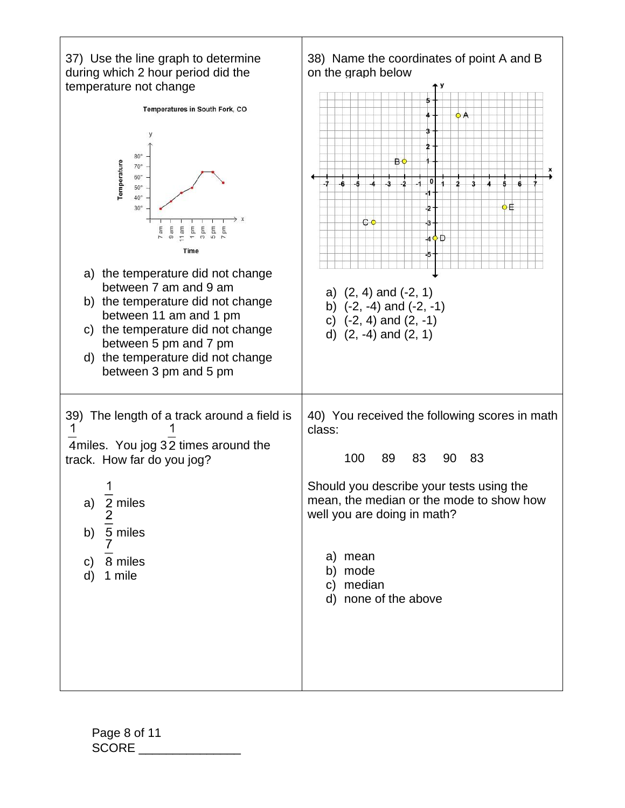

Page 8 of 11 SCORE  $\Box$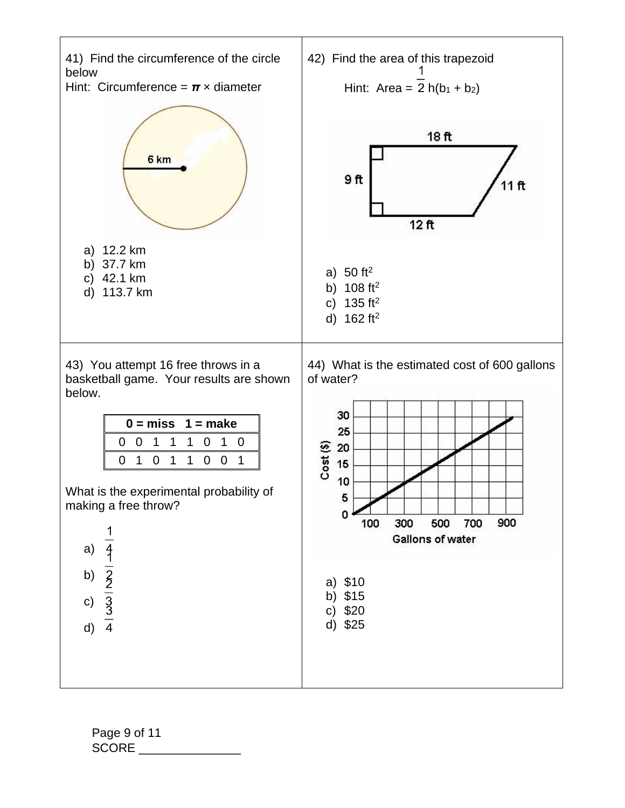

Page 9 of 11 SCORE \_\_\_\_\_\_\_\_\_\_\_\_\_\_\_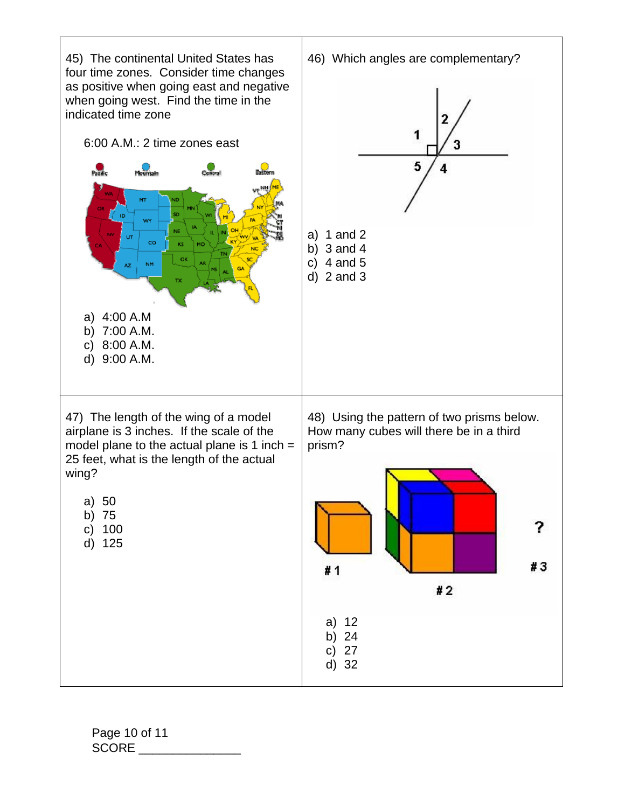

Page 10 of 11 SCORE \_\_\_\_\_\_\_\_\_\_\_\_\_\_\_